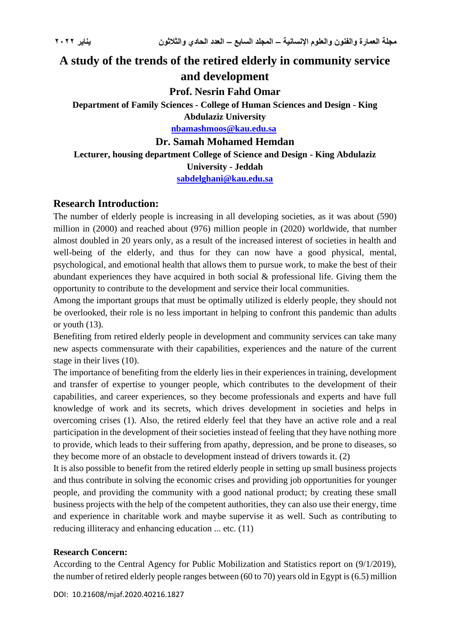# **A study of the trends of the retired elderly in community service and development**

**Prof. Nesrin Fahd Omar**

**Department of Family Sciences - College of Human Sciences and Design - King** 

**Abdulaziz University [nbamashmoos@kau.edu.sa](mailto:nbamashmoos@kau.edu.sa)**

## **Dr. Samah Mohamed Hemdan**

**Lecturer, housing department College of Science and Design - King Abdulaziz University - Jeddah**

**[sabdelghani@kau.edu.sa](mailto:sabdelghani@kau.edu.sa)**

## **Research Introduction:**

The number of elderly people is increasing in all developing societies, as it was about (590) million in (2000) and reached about (976) million people in (2020) worldwide, that number almost doubled in 20 years only, as a result of the increased interest of societies in health and well-being of the elderly, and thus for they can now have a good physical, mental, psychological, and emotional health that allows them to pursue work, to make the best of their abundant experiences they have acquired in both social & professional life. Giving them the opportunity to contribute to the development and service their local communities.

Among the important groups that must be optimally utilized is elderly people, they should not be overlooked, their role is no less important in helping to confront this pandemic than adults or youth (13).

Benefiting from retired elderly people in development and community services can take many new aspects commensurate with their capabilities, experiences and the nature of the current stage in their lives (10).

The importance of benefiting from the elderly lies in their experiences in training, development and transfer of expertise to younger people, which contributes to the development of their capabilities, and career experiences, so they become professionals and experts and have full knowledge of work and its secrets, which drives development in societies and helps in overcoming crises (1). Also, the retired elderly feel that they have an active role and a real participation in the development of their societies instead of feeling that they have nothing more to provide, which leads to their suffering from apathy, depression, and be prone to diseases, so they become more of an obstacle to development instead of drivers towards it. (2)

It is also possible to benefit from the retired elderly people in setting up small business projects and thus contribute in solving the economic crises and providing job opportunities for younger people, and providing the community with a good national product; by creating these small business projects with the help of the competent authorities, they can also use their energy, time and experience in charitable work and maybe supervise it as well. Such as contributing to reducing illiteracy and enhancing education ... etc. (11)

### **Research Concern:**

According to the Central Agency for Public Mobilization and Statistics report on (9/1/2019), the number of retired elderly people ranges between (60 to 70) years old in Egypt is (6.5) million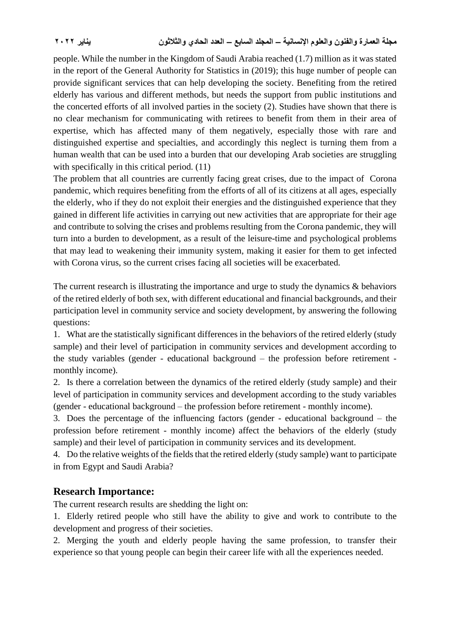people. While the number in the Kingdom of Saudi Arabia reached (1.7) million as it was stated in the report of the General Authority for Statistics in (2019); this huge number of people can provide significant services that can help developing the society. Benefiting from the retired elderly has various and different methods, but needs the support from public institutions and the concerted efforts of all involved parties in the society (2). Studies have shown that there is no clear mechanism for communicating with retirees to benefit from them in their area of expertise, which has affected many of them negatively, especially those with rare and distinguished expertise and specialties, and accordingly this neglect is turning them from a human wealth that can be used into a burden that our developing Arab societies are struggling with specifically in this critical period.  $(11)$ 

The problem that all countries are currently facing great crises, due to the impact of Corona pandemic, which requires benefiting from the efforts of all of its citizens at all ages, especially the elderly, who if they do not exploit their energies and the distinguished experience that they gained in different life activities in carrying out new activities that are appropriate for their age and contribute to solving the crises and problems resulting from the Corona pandemic, they will turn into a burden to development, as a result of the leisure-time and psychological problems that may lead to weakening their immunity system, making it easier for them to get infected with Corona virus, so the current crises facing all societies will be [exacerbated.](https://context.reverso.net/translation/english-arabic/be+exacerbated)

The current research is [illustrating the importance](https://context.reverso.net/translation/english-arabic/illustrate+the+importance) and urge to study the dynamics & behaviors of the retired elderly of both sex, with different educational and financial backgrounds, and their participation level in community service and society development, by answering the following questions:

1. What are the statistically significant differences in the behaviors of the retired elderly (study sample) and their level of participation in community services and development according to the study variables (gender - educational background – the profession before retirement monthly income).

2. Is there a correlation between the dynamics of the retired elderly (study sample) and their level of participation in community services and development according to the study variables (gender - educational background – the profession before retirement - monthly income).

3. Does the percentage of the influencing factors (gender - educational background – the profession before retirement - monthly income) affect the behaviors of the elderly (study sample) and their level of participation in community services and its development.

4. Do the relative weights of the fields that the retired elderly (study sample) want to participate in from Egypt and Saudi Arabia?

## **Research Importance:**

The current research results are shedding the light on:

1. Elderly retired people who still have the ability to give and work to contribute to the development and progress of their societies.

2. Merging the youth and elderly people having the same profession, to transfer their experience so that young people can begin their career life with all the experiences needed.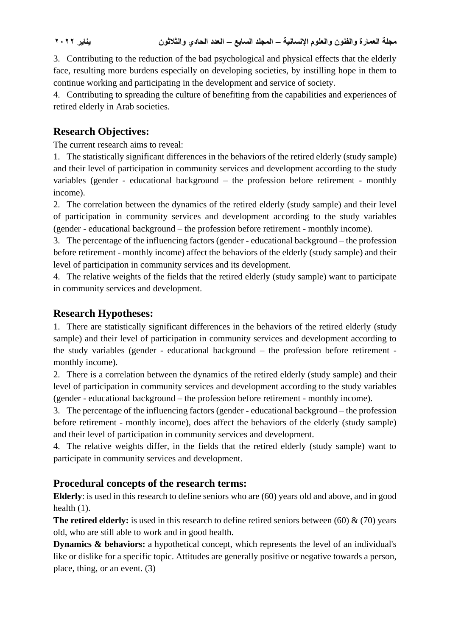3. Contributing to the reduction of the bad psychological and physical effects that the elderly face, resulting more burdens especially on developing societies, by instilling hope in them to continue working and participating in the development and service of society.

4. Contributing to spreading the culture of benefiting from the capabilities and experiences of retired elderly in Arab societies.

## **Research Objectives:**

The current research aims to reveal:

1. The statistically significant differences in the behaviors of the retired elderly (study sample) and their level of participation in community services and development according to the study variables (gender - educational background – the profession before retirement - monthly income).

2. The correlation between the dynamics of the retired elderly (study sample) and their level of participation in community services and development according to the study variables (gender - educational background – the profession before retirement - monthly income).

3. The percentage of the influencing factors (gender - educational background – the profession before retirement - monthly income) affect the behaviors of the elderly (study sample) and their level of participation in community services and its development.

4. The relative weights of the fields that the retired elderly (study sample) want to participate in community services and development.

## **Research Hypotheses:**

1. There are statistically significant differences in the behaviors of the retired elderly (study sample) and their level of participation in community services and development according to the study variables (gender - educational background – the profession before retirement monthly income).

2. There is a correlation between the dynamics of the retired elderly (study sample) and their level of participation in community services and development according to the study variables (gender - educational background – the profession before retirement - monthly income).

3. The percentage of the influencing factors (gender - educational background – the profession before retirement - monthly income), does affect the behaviors of the elderly (study sample) and their level of participation in community services and development.

4. The relative weights differ, in the fields that the retired elderly (study sample) want to participate in community services and development.

## **Procedural concepts of the research terms:**

**Elderly**: is used in this research to define seniors who are (60) years old and above, and in good health (1).

**The retired elderly:** is used in this research to define retired seniors between  $(60)$  &  $(70)$  years old, who are still able to work and in good health.

**Dynamics & behaviors:** a hypothetical concept, which represents the level of an individual's like or dislike for a specific topic. Attitudes are generally positive or negative towards a person, place, thing, or an event. (3)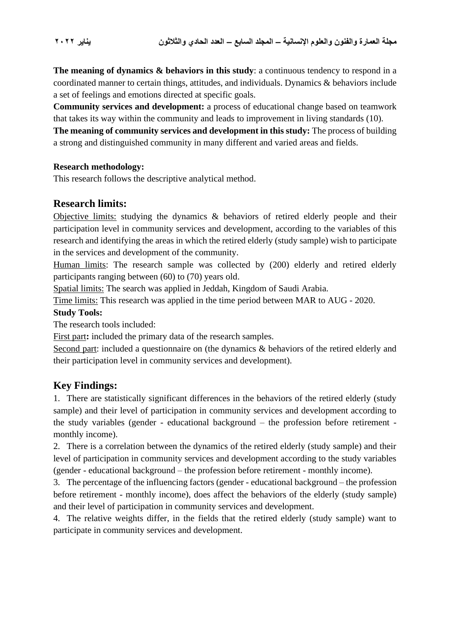**The meaning of dynamics & behaviors in this study**: a continuous tendency to respond in a coordinated manner to certain things, attitudes, and individuals. Dynamics & behaviors include a set of feelings and emotions directed at specific goals.

**Community services and development:** a process of educational change based on teamwork that takes its way within the community and leads to improvement in living standards (10).

**The meaning of community services and development in this study:** The process of building a strong and distinguished community in many different and varied areas and fields.

### **Research methodology:**

This research follows the descriptive analytical method.

## **Research limits:**

Objective limits: studying the dynamics & behaviors of retired elderly people and their participation level in community services and development, according to the variables of this research and identifying the areas in which the retired elderly (study sample) wish to participate in the services and development of the community.

Human limits: The research sample was collected by (200) elderly and retired elderly participants ranging between (60) to (70) years old.

Spatial limits: The search was applied in Jeddah, Kingdom of Saudi Arabia.

Time limits: This research was applied in the time period between MAR to AUG - 2020.

### **Study Tools:**

The research tools included:

First part**:** included the primary data of the research samples.

Second part: included a questionnaire on (the dynamics & behaviors of the retired elderly and their participation level in community services and development).

## **Key Findings:**

1. There are statistically significant differences in the behaviors of the retired elderly (study sample) and their level of participation in community services and development according to the study variables (gender - educational background – the profession before retirement monthly income).

2. There is a correlation between the dynamics of the retired elderly (study sample) and their level of participation in community services and development according to the study variables (gender - educational background – the profession before retirement - monthly income).

3. The percentage of the influencing factors (gender - educational background – the profession before retirement - monthly income), does affect the behaviors of the elderly (study sample) and their level of participation in community services and development.

4. The relative weights differ, in the fields that the retired elderly (study sample) want to participate in community services and development.